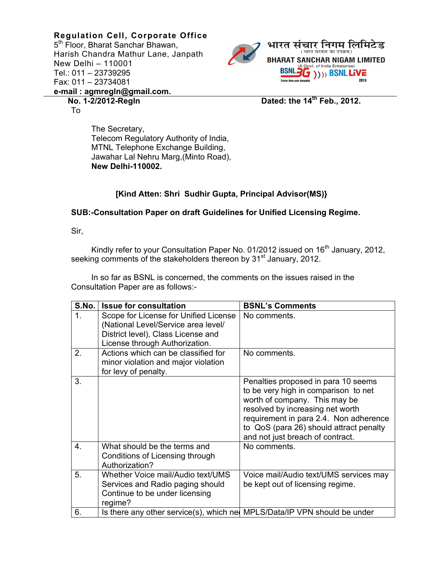**Regulation Cell, Corporate Office**  5<sup>th</sup> Floor, Bharat Sanchar Bhawan, Harish Chandra Mathur Lane, Janpath New Delhi – 110001 Tel.: 011 – 23739295 Fax: 011 – 23734081 **e-mail : agmregln@gmail.com.** 



**No. 1-2/2012-Regln Dated: the 14th Feb., 2012.** 

The Secretary, Telecom Regulatory Authority of India, MTNL Telephone Exchange Building, Jawahar Lal Nehru Marg,(Minto Road), **New Delhi-110002.** 

## **[Kind Atten: Shri Sudhir Gupta, Principal Advisor(MS)}**

## **SUB:-Consultation Paper on draft Guidelines for Unified Licensing Regime.**

Sir,

To

Kindly refer to your Consultation Paper No. 01/2012 issued on  $16<sup>th</sup>$  January, 2012, seeking comments of the stakeholders thereon by 31<sup>st</sup> January, 2012.

 In so far as BSNL is concerned, the comments on the issues raised in the Consultation Paper are as follows:-

| S.No.          | <b>Issue for consultation</b>                                                                                                                        | <b>BSNL's Comments</b>                                                                                                                                                                                                                                                    |
|----------------|------------------------------------------------------------------------------------------------------------------------------------------------------|---------------------------------------------------------------------------------------------------------------------------------------------------------------------------------------------------------------------------------------------------------------------------|
| 1 <sub>1</sub> | Scope for License for Unified License<br>(National Level/Service area level/<br>District level), Class License and<br>License through Authorization. | No comments.                                                                                                                                                                                                                                                              |
| 2.             | Actions which can be classified for<br>minor violation and major violation<br>for levy of penalty.                                                   | No comments.                                                                                                                                                                                                                                                              |
| 3.             |                                                                                                                                                      | Penalties proposed in para 10 seems<br>to be very high in comparison to net<br>worth of company. This may be<br>resolved by increasing net worth<br>requirement in para 2.4. Non adherence<br>to QoS (para 26) should attract penalty<br>and not just breach of contract. |
| 4.             | What should be the terms and<br>Conditions of Licensing through<br>Authorization?                                                                    | No comments.                                                                                                                                                                                                                                                              |
| 5.             | Whether Voice mail/Audio text/UMS<br>Services and Radio paging should<br>Continue to be under licensing<br>regime?                                   | Voice mail/Audio text/UMS services may<br>be kept out of licensing regime.                                                                                                                                                                                                |
| 6.             | Is there any other service(s), which net MPLS/Data/IP VPN should be under                                                                            |                                                                                                                                                                                                                                                                           |